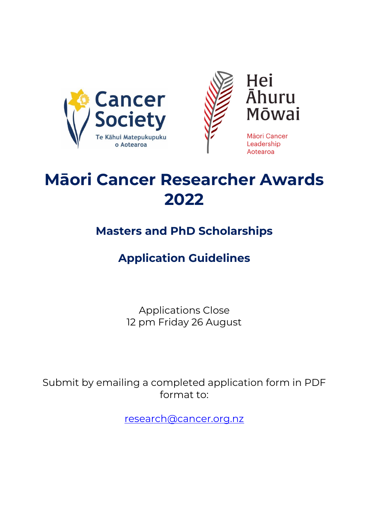



Hei **Ahuru** Mōwai

Māori Cancer Leadership Aotearoa

## **Māori Cancer Researcher Awards 2022**

### **Masters and PhD Scholarships**

### **Application Guidelines**

Applications Close 12 pm Friday 26 August

Submit by emailing a completed application form in PDF format to:

[research@cancer.org.nz](mailto:research@cancer.org.nz)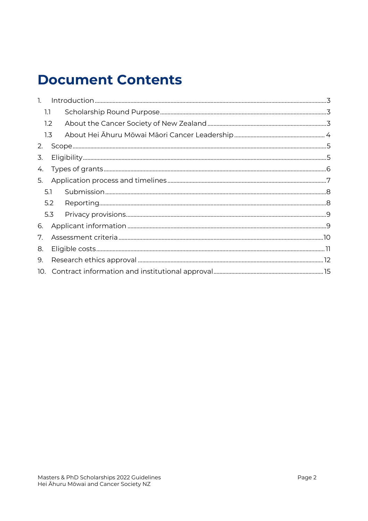### **Document Contents**

| $\mathbf{1}$ . |     |  |  |  |  |
|----------------|-----|--|--|--|--|
| 1.1            |     |  |  |  |  |
| 1.2            |     |  |  |  |  |
| 1.3            |     |  |  |  |  |
| 2.             |     |  |  |  |  |
| 3.             |     |  |  |  |  |
| 4.             |     |  |  |  |  |
| 5.             |     |  |  |  |  |
| 5.1            |     |  |  |  |  |
|                | 5.2 |  |  |  |  |
|                | 5.3 |  |  |  |  |
| 6.             |     |  |  |  |  |
| 7.             |     |  |  |  |  |
| 8.             |     |  |  |  |  |
| 9.             |     |  |  |  |  |
| 10.            |     |  |  |  |  |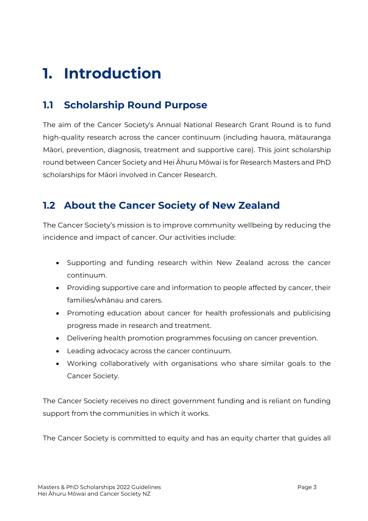### <span id="page-2-0"></span>**1. Introduction**

#### <span id="page-2-1"></span>**1.1 Scholarship Round Purpose**

The aim of the Cancer Society's Annual National Research Grant Round is to fund high-quality research across the cancer continuum (including hauora, mātauranga Māori, prevention, diagnosis, treatment and supportive care). This joint scholarship round between Cancer Society and Hei Āhuru Mōwai is for Research Masters and PhD scholarships for Māori involved in Cancer Research.

#### <span id="page-2-2"></span>**1.2 About the Cancer Society of New Zealand**

The Cancer Society's mission is to improve community wellbeing by reducing the incidence and impact of cancer. Our activities include:

- Supporting and funding research within New Zealand across the cancer continuum.
- Providing supportive care and information to people affected by cancer, their families/whānau and carers.
- Promoting education about cancer for health professionals and publicising progress made in research and treatment.
- Delivering health promotion programmes focusing on cancer prevention.
- Leading advocacy across the cancer continuum.
- Working collaboratively with organisations who share similar goals to the Cancer Society.

The Cancer Society receives no direct government funding and is reliant on funding support from the communities in which it works.

The Cancer Society is committed to equity and has an equity charter that guides all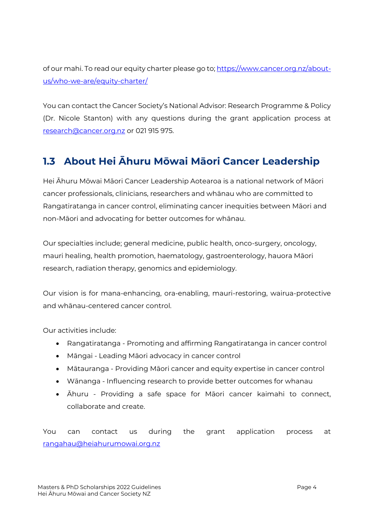of our mahi. To read our equity charter please go to[; https://www.cancer.org.nz/about](https://www.cancer.org.nz/about-us/who-we-are/equity-charter/)[us/who-we-are/equity-charter/](https://www.cancer.org.nz/about-us/who-we-are/equity-charter/)

You can contact the Cancer Society's National Advisor: Research Programme & Policy (Dr. Nicole Stanton) with any questions during the grant application process at [research@cancer.org.nz](mailto:research@cancer.org.nz) or 021 915 975.

### <span id="page-3-0"></span>**1.3 About Hei Āhuru Mōwai Māori Cancer Leadership**

Hei Āhuru Mōwai Māori Cancer Leadership Aotearoa is a national network of Māori cancer professionals, clinicians, researchers and whānau who are committed to Rangatiratanga in cancer control, eliminating cancer inequities between Māori and non-Māori and advocating for better outcomes for whānau.

Our specialties include; general medicine, public health, onco-surgery, oncology, mauri healing, health promotion, haematology, gastroenterology, hauora Māori research, radiation therapy, genomics and epidemiology.

Our vision is for mana-enhancing, ora-enabling, mauri-restoring, wairua-protective and whānau-centered cancer control.

Our activities include:

- Rangatiratanga Promoting and affirming Rangatiratanga in cancer control
- Māngai Leading Māori advocacy in cancer control
- Mātauranga Providing Māori cancer and equity expertise in cancer control
- Wānanga Influencing research to provide better outcomes for whanau
- Āhuru Providing a safe space for Māori cancer kaimahi to connect, collaborate and create.

You can contact us during the grant application process at [rangahau@heiahurumowai.org.nz](mailto:rangahau@heiahurumowai.org.nz)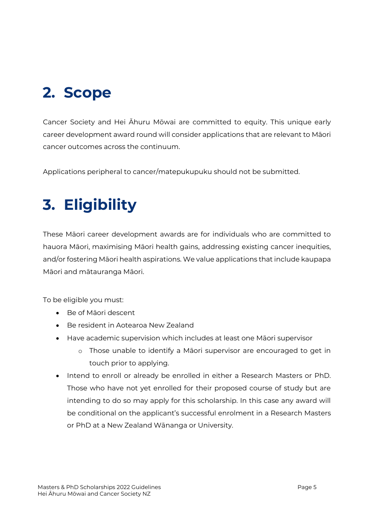### <span id="page-4-0"></span>**2. Scope**

Cancer Society and Hei Āhuru Mōwai are committed to equity. This unique early career development award round will consider applications that are relevant to Māori cancer outcomes across the continuum.

Applications peripheral to cancer/matepukupuku should not be submitted.

## <span id="page-4-1"></span>**3. Eligibility**

These Māori career development awards are for individuals who are committed to hauora Māori, maximising Māori health gains, addressing existing cancer inequities, and/or fostering Māori health aspirations. We value applications that include kaupapa Māori and mātauranga Māori.

To be eligible you must:

- Be of Māori descent
- Be resident in Aotearoa New Zealand
- Have academic supervision which includes at least one Māori supervisor
	- o Those unable to identify a Māori supervisor are encouraged to get in touch prior to applying.
- Intend to enroll or already be enrolled in either a Research Masters or PhD. Those who have not yet enrolled for their proposed course of study but are intending to do so may apply for this scholarship. In this case any award will be conditional on the applicant's successful enrolment in a Research Masters or PhD at a New Zealand Wānanga or University.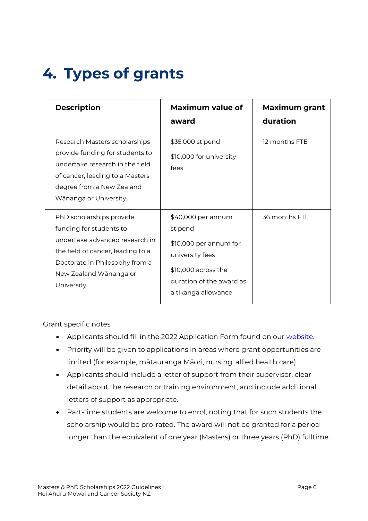## <span id="page-5-0"></span>**4. Types of grants**

| <b>Description</b>                                                                                                                                                                                    | <b>Maximum value of</b><br>award                                                                                                                      | <b>Maximum grant</b><br>duration |
|-------------------------------------------------------------------------------------------------------------------------------------------------------------------------------------------------------|-------------------------------------------------------------------------------------------------------------------------------------------------------|----------------------------------|
| Research Masters scholarships<br>provide funding for students to<br>undertake research in the field<br>of cancer, leading to a Masters<br>degree from a New Zealand<br>Wānanga or University.         | \$35,000 stipend<br>\$10,000 for university<br>fees                                                                                                   | 12 months FTE                    |
| PhD scholarships provide<br>funding for students to<br>undertake advanced research in<br>the field of cancer, leading to a<br>Doctorate in Philosophy from a<br>New Zealand Wānanga or<br>University. | \$40,000 per annum<br>stipend<br>$$10,000$ per annum for<br>university fees<br>\$10,000 across the<br>duration of the award as<br>a tikanga allowance | 36 months FTE                    |

Grant specific notes

- Applicants should fill in the 2022 Application Form found on our [website.](https://www.cancer.org.nz/supporting-you/cancer-research/research-grants/)
- Priority will be given to applications in areas where grant opportunities are limited (for example, mātauranga Māori, nursing, allied health care).
- Applicants should include a letter of support from their supervisor, clear detail about the research or training environment, and include additional letters of support as appropriate.
- Part-time students are welcome to enrol, noting that for such students the scholarship would be pro-rated. The award will not be granted for a period longer than the equivalent of one year (Masters) or three years (PhD) fulltime.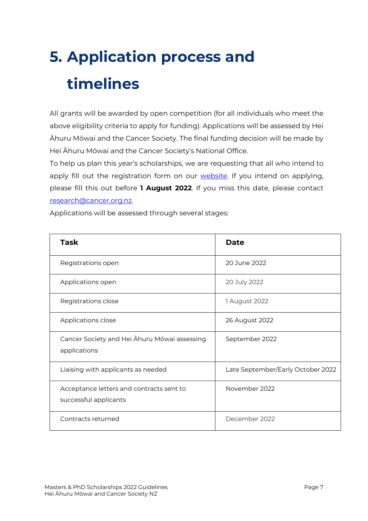# <span id="page-6-0"></span>**5. Application process and timelines**

All grants will be awarded by open competition (for all individuals who meet the above eligibility criteria to apply for funding). Applications will be assessed by Hei Āhuru Mōwai and the Cancer Society. The final funding decision will be made by Hei Āhuru Mōwai and the Cancer Society's National Office.

To help us plan this year's scholarships, we are requesting that all who intend to apply fill out the registration form on our **website**. If you intend on applying, please fill this out before **1 August 2022**. If you miss this date, please contact [research@cancer.org.nz.](mailto:research@cancer.org.nz) 

Applications will be assessed through several stages:

| <b>Task</b>                                                       | <b>Date</b>                       |
|-------------------------------------------------------------------|-----------------------------------|
| Registrations open                                                | 20 June 2022                      |
| Applications open                                                 | 20 July 2022                      |
| Registrations close                                               | 1 August 2022                     |
| Applications close                                                | 26 August 2022                    |
| Cancer Society and Hei Ahuru Mōwai assessing<br>applications      | September 2022                    |
| Liaising with applicants as needed                                | Late September/Early October 2022 |
| Acceptance letters and contracts sent to<br>successful applicants | November 2022                     |
| Contracts returned                                                | December 2022                     |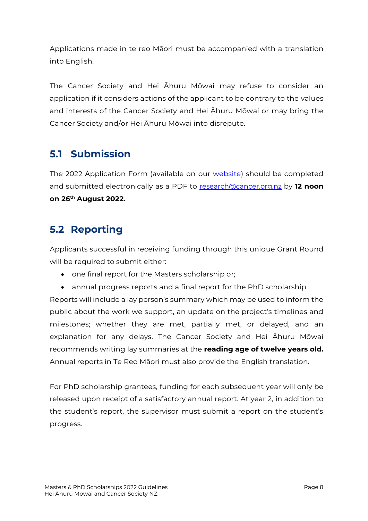Applications made in te reo Māori must be accompanied with a translation into English.

The Cancer Society and Hei Āhuru Mōwai may refuse to consider an application if it considers actions of the applicant to be contrary to the values and interests of the Cancer Society and Hei Āhuru Mōwai or may bring the Cancer Society and/or Hei Āhuru Mōwai into disrepute.

#### <span id="page-7-0"></span>**5.1 Submission**

The 2022 Application Form (available on our [website\)](https://www.cancer.org.nz/supporting-you/cancer-research/research-grants/) should be completed and submitted electronically as a PDF to [research@cancer.org.nz](mailto:research@cancer.org.nz) by **12 noon on 26 th August 2022.**

#### <span id="page-7-1"></span>**5.2 Reporting**

Applicants successful in receiving funding through this unique Grant Round will be required to submit either:

- one final report for the Masters scholarship or;
- annual progress reports and a final report for the PhD scholarship.

Reports will include a lay person's summary which may be used to inform the public about the work we support, an update on the project's timelines and milestones; whether they are met, partially met, or delayed, and an explanation for any delays. The Cancer Society and Hei Āhuru Mōwai recommends writing lay summaries at the **reading age of twelve years old.** Annual reports in Te Reo Māori must also provide the English translation.

For PhD scholarship grantees, funding for each subsequent year will only be released upon receipt of a satisfactory annual report. At year 2, in addition to the student's report, the supervisor must submit a report on the student's progress.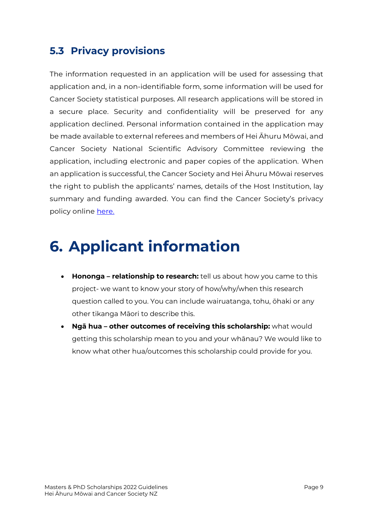#### <span id="page-8-0"></span>**5.3 Privacy provisions**

The information requested in an application will be used for assessing that application and, in a non-identifiable form, some information will be used for Cancer Society statistical purposes. All research applications will be stored in a secure place. Security and confidentiality will be preserved for any application declined. Personal information contained in the application may be made available to external referees and members of Hei Āhuru Mōwai, and Cancer Society National Scientific Advisory Committee reviewing the application, including electronic and paper copies of the application. When an application is successful, the Cancer Society and Hei Āhuru Mōwai reserves the right to publish the applicants' names, details of the Host Institution, lay summary and funding awarded. You can find the Cancer Society's privacy policy online [here.](http://www.cancer.org.nz/privacy)

### <span id="page-8-1"></span>**6. Applicant information**

- **Hononga – relationship to research:** tell us about how you came to this project- we want to know your story of how/why/when this research question called to you. You can include wairuatanga, tohu, ōhaki or any other tikanga Māori to describe this.
- **Ngā hua – other outcomes of receiving this scholarship:** what would getting this scholarship mean to you and your whānau? We would like to know what other hua/outcomes this scholarship could provide for you.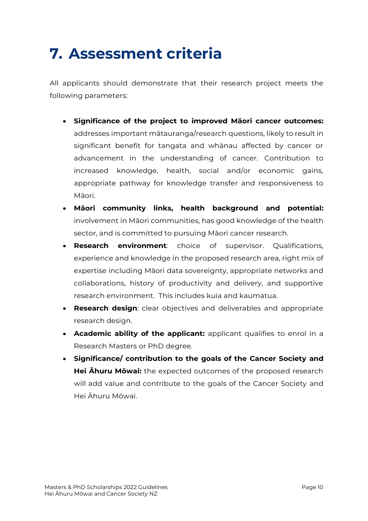## <span id="page-9-0"></span>**7. Assessment criteria**

All applicants should demonstrate that their research project meets the following parameters:

- **Significance of the project to improved Māori cancer outcomes:**  addresses important mātauranga/research questions, likely to result in significant benefit for tangata and whānau affected by cancer or advancement in the understanding of cancer. Contribution to increased knowledge, health, social and/or economic gains, appropriate pathway for knowledge transfer and responsiveness to Māori.
- **Māori community links, health background and potential:** involvement in Māori communities, has good knowledge of the health sector, and is committed to pursuing Māori cancer research.
- **Research environment**: choice of supervisor. Qualifications, experience and knowledge in the proposed research area, right mix of expertise including Māori data sovereignty, appropriate networks and collaborations, history of productivity and delivery, and supportive research environment. This includes kuia and kaumatua.
- **Research design**: clear objectives and deliverables and appropriate research design.
- **Academic ability of the applicant:** applicant qualifies to enrol in a Research Masters or PhD degree.
- **Significance/ contribution to the goals of the Cancer Society and Hei Āhuru Mōwai:** the expected outcomes of the proposed research will add value and contribute to the goals of the Cancer Society and Hei Āhuru Mōwai.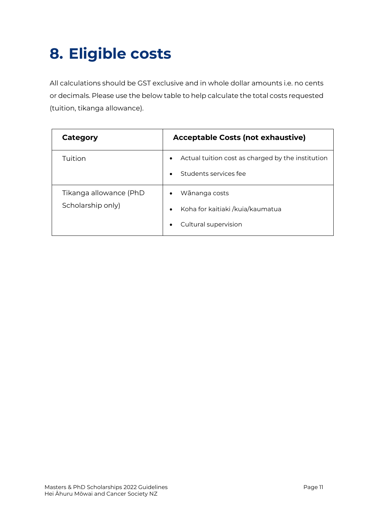## <span id="page-10-0"></span>**8. Eligible costs**

All calculations should be GST exclusive and in whole dollar amounts i.e. no cents or decimals. Please use the below table to help calculate the total costs requested (tuition, tikanga allowance).

| Category                                    | <b>Acceptable Costs (not exhaustive)</b>                                                             |  |
|---------------------------------------------|------------------------------------------------------------------------------------------------------|--|
| Tuition                                     | Actual tuition cost as charged by the institution<br>$\bullet$<br>Students services fee<br>$\bullet$ |  |
| Tikanga allowance (PhD<br>Scholarship only) | Wānanga costs<br>$\bullet$<br>Koha for kaitiaki /kuia/kaumatua<br>$\bullet$<br>Cultural supervision  |  |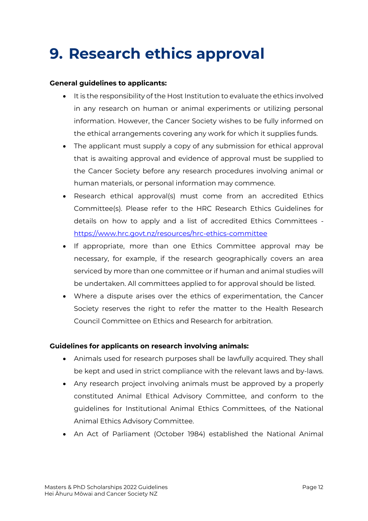### <span id="page-11-0"></span>**9. Research ethics approval**

#### **General guidelines to applicants:**

- It is the responsibility of the Host Institution to evaluate the ethics involved in any research on human or animal experiments or utilizing personal information. However, the Cancer Society wishes to be fully informed on the ethical arrangements covering any work for which it supplies funds.
- The applicant must supply a copy of any submission for ethical approval that is awaiting approval and evidence of approval must be supplied to the Cancer Society before any research procedures involving animal or human materials, or personal information may commence.
- Research ethical approval(s) must come from an accredited Ethics Committee(s). Please refer to the HRC Research Ethics Guidelines for details on how to apply and a list of accredited Ethics Committees <https://www.hrc.govt.nz/resources/hrc-ethics-committee>
- If appropriate, more than one Ethics Committee approval may be necessary, for example, if the research geographically covers an area serviced by more than one committee or if human and animal studies will be undertaken. All committees applied to for approval should be listed.
- Where a dispute arises over the ethics of experimentation, the Cancer Society reserves the right to refer the matter to the Health Research Council Committee on Ethics and Research for arbitration.

#### **Guidelines for applicants on research involving animals:**

- Animals used for research purposes shall be lawfully acquired. They shall be kept and used in strict compliance with the relevant laws and by-laws.
- Any research project involving animals must be approved by a properly constituted Animal Ethical Advisory Committee, and conform to the guidelines for Institutional Animal Ethics Committees, of the National Animal Ethics Advisory Committee.
- An Act of Parliament (October 1984) established the National Animal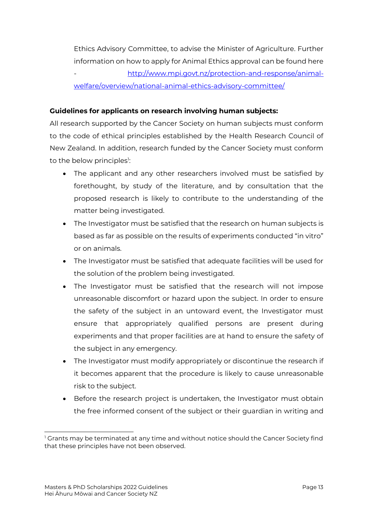Ethics Advisory Committee, to advise the Minister of Agriculture. Further information on how to apply for Animal Ethics approval can be found here - [http://www.mpi.govt.nz/protection-and-response/animal](http://www.mpi.govt.nz/protection-and-response/animal-welfare/overview/national-animal-ethics-advisory-committee/)[welfare/overview/national-animal-ethics-advisory-committee/](http://www.mpi.govt.nz/protection-and-response/animal-welfare/overview/national-animal-ethics-advisory-committee/)

#### **Guidelines for applicants on research involving human subjects:**

All research supported by the Cancer Society on human subjects must conform to the code of ethical principles established by the Health Research Council of New Zealand. In addition, research funded by the Cancer Society must conform to the below principles<sup>1</sup>:

- The applicant and any other researchers involved must be satisfied by forethought, by study of the literature, and by consultation that the proposed research is likely to contribute to the understanding of the matter being investigated.
- The Investigator must be satisfied that the research on human subjects is based as far as possible on the results of experiments conducted "in vitro" or on animals.
- The Investigator must be satisfied that adequate facilities will be used for the solution of the problem being investigated.
- The Investigator must be satisfied that the research will not impose unreasonable discomfort or hazard upon the subject. In order to ensure the safety of the subject in an untoward event, the Investigator must ensure that appropriately qualified persons are present during experiments and that proper facilities are at hand to ensure the safety of the subject in any emergency.
- The Investigator must modify appropriately or discontinue the research if it becomes apparent that the procedure is likely to cause unreasonable risk to the subject.
- Before the research project is undertaken, the Investigator must obtain the free informed consent of the subject or their guardian in writing and

 $1$  Grants may be terminated at any time and without notice should the Cancer Society find that these principles have not been observed.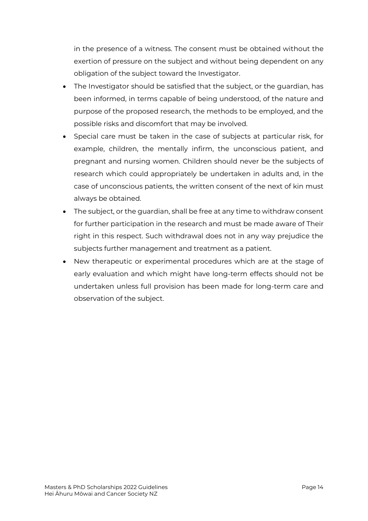in the presence of a witness. The consent must be obtained without the exertion of pressure on the subject and without being dependent on any obligation of the subject toward the Investigator.

- The Investigator should be satisfied that the subject, or the guardian, has been informed, in terms capable of being understood, of the nature and purpose of the proposed research, the methods to be employed, and the possible risks and discomfort that may be involved.
- Special care must be taken in the case of subjects at particular risk, for example, children, the mentally infirm, the unconscious patient, and pregnant and nursing women. Children should never be the subjects of research which could appropriately be undertaken in adults and, in the case of unconscious patients, the written consent of the next of kin must always be obtained.
- The subject, or the guardian, shall be free at any time to withdraw consent for further participation in the research and must be made aware of Their right in this respect. Such withdrawal does not in any way prejudice the subjects further management and treatment as a patient.
- New therapeutic or experimental procedures which are at the stage of early evaluation and which might have long-term effects should not be undertaken unless full provision has been made for long-term care and observation of the subject.